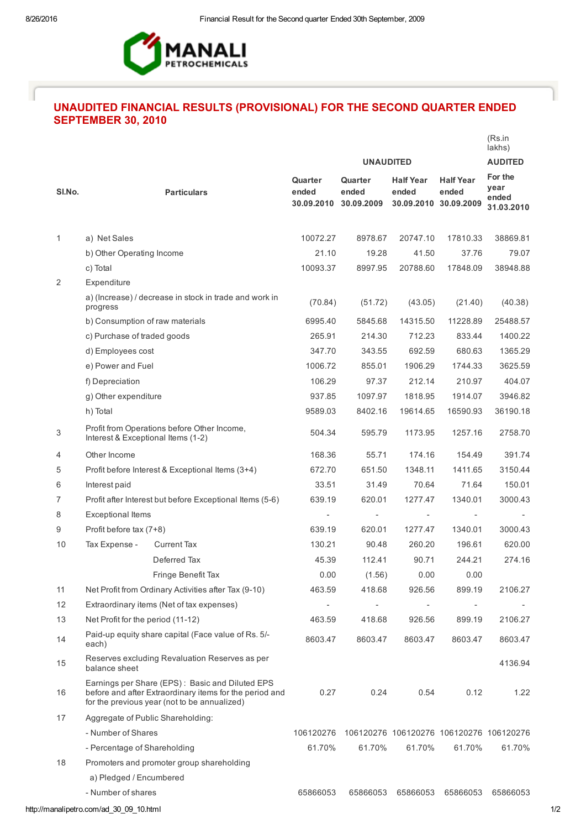

## UNAUDITED FINANCIAL RESULTS (PROVISIONAL) FOR THE SECOND QUARTER ENDED SEPTEMBER 30, 2010

|        |                                                                                                                                                            |                                                        |                                |                                |                                                    |                                         | (Rs.in<br>lakhs)                       |
|--------|------------------------------------------------------------------------------------------------------------------------------------------------------------|--------------------------------------------------------|--------------------------------|--------------------------------|----------------------------------------------------|-----------------------------------------|----------------------------------------|
|        |                                                                                                                                                            |                                                        |                                | <b>UNAUDITED</b>               |                                                    |                                         | <b>AUDITED</b>                         |
| SI.No. |                                                                                                                                                            | <b>Particulars</b>                                     | Quarter<br>ended<br>30.09.2010 | Quarter<br>ended<br>30.09.2009 | <b>Half Year</b><br>ended<br>30.09.2010 30.09.2009 | <b>Half Year</b><br>ended               | For the<br>year<br>ended<br>31.03.2010 |
| 1      | a) Net Sales                                                                                                                                               |                                                        | 10072.27                       | 8978.67                        | 20747.10                                           | 17810.33                                | 38869.81                               |
|        | b) Other Operating Income                                                                                                                                  |                                                        | 21.10                          | 19.28                          | 41.50                                              | 37.76                                   | 79.07                                  |
|        | c) Total                                                                                                                                                   |                                                        | 10093.37                       | 8997.95                        | 20788.60                                           | 17848.09                                | 38948.88                               |
| 2      | Expenditure                                                                                                                                                |                                                        |                                |                                |                                                    |                                         |                                        |
|        | progress                                                                                                                                                   | a) (Increase) / decrease in stock in trade and work in | (70.84)                        | (51.72)                        | (43.05)                                            | (21.40)                                 | (40.38)                                |
|        | b) Consumption of raw materials                                                                                                                            |                                                        | 6995.40                        | 5845.68                        | 14315.50                                           | 11228.89                                | 25488.57                               |
|        |                                                                                                                                                            | c) Purchase of traded goods                            |                                | 214.30                         | 712.23                                             | 833.44                                  | 1400.22                                |
|        | d) Employees cost                                                                                                                                          |                                                        | 347.70                         | 343.55                         | 692.59                                             | 680.63                                  | 1365.29                                |
|        | e) Power and Fuel                                                                                                                                          |                                                        | 1006.72                        | 855.01                         | 1906.29                                            | 1744.33                                 | 3625.59                                |
|        | f) Depreciation                                                                                                                                            |                                                        | 106.29                         | 97.37                          | 212.14                                             | 210.97                                  | 404.07                                 |
|        | g) Other expenditure                                                                                                                                       |                                                        | 937.85                         | 1097.97                        | 1818.95                                            | 1914.07                                 | 3946.82                                |
|        | h) Total                                                                                                                                                   |                                                        | 9589.03                        | 8402.16                        | 19614.65                                           | 16590.93                                | 36190.18                               |
| 3      | Profit from Operations before Other Income,<br>Interest & Exceptional Items (1-2)                                                                          |                                                        | 504.34                         | 595.79                         | 1173.95                                            | 1257.16                                 | 2758.70                                |
| 4      | Other Income                                                                                                                                               |                                                        | 168.36                         | 55.71                          | 174.16                                             | 154.49                                  | 391.74                                 |
| 5      | Profit before Interest & Exceptional Items (3+4)                                                                                                           |                                                        | 672.70                         | 651.50                         | 1348.11                                            | 1411.65                                 | 3150.44                                |
| 6      | Interest paid                                                                                                                                              |                                                        | 33.51                          | 31.49                          | 70.64                                              | 71.64                                   | 150.01                                 |
| 7      | Profit after Interest but before Exceptional Items (5-6)                                                                                                   |                                                        | 639.19                         | 620.01                         | 1277.47                                            | 1340.01                                 | 3000.43                                |
| 8      | <b>Exceptional Items</b>                                                                                                                                   |                                                        |                                | ÷                              | ÷,                                                 |                                         |                                        |
| 9      | Profit before tax (7+8)                                                                                                                                    |                                                        | 639.19                         | 620.01                         | 1277.47                                            | 1340.01                                 | 3000.43                                |
| 10     | Tax Expense -                                                                                                                                              | <b>Current Tax</b>                                     | 130.21                         | 90.48                          | 260.20                                             | 196.61                                  | 620.00                                 |
|        |                                                                                                                                                            | Deferred Tax                                           | 45.39                          | 112.41                         | 90.71                                              | 244.21                                  | 274.16                                 |
|        |                                                                                                                                                            | Fringe Benefit Tax                                     | 0.00                           | (1.56)                         | 0.00                                               | 0.00                                    |                                        |
| 11     | Net Profit from Ordinary Activities after Tax (9-10)                                                                                                       |                                                        | 463.59                         | 418.68                         | 926.56                                             | 899.19                                  | 2106.27                                |
| 12     | Extraordinary items (Net of tax expenses)                                                                                                                  |                                                        | $\overline{\phantom{a}}$       |                                | $\overline{\phantom{0}}$                           |                                         |                                        |
| 13     | Net Profit for the period (11-12)                                                                                                                          |                                                        | 463.59                         | 418.68                         | 926.56                                             | 899.19                                  | 2106.27                                |
| 14     | Paid-up equity share capital (Face value of Rs. 5/-<br>each)                                                                                               |                                                        | 8603.47                        | 8603.47                        | 8603.47                                            | 8603.47                                 | 8603.47                                |
| 15     | Reserves excluding Revaluation Reserves as per<br>balance sheet                                                                                            |                                                        |                                |                                |                                                    |                                         | 4136.94                                |
| 16     | Earnings per Share (EPS): Basic and Diluted EPS<br>before and after Extraordinary items for the period and<br>for the previous year (not to be annualized) |                                                        | 0.27                           | 0.24                           | 0.54                                               | 0.12                                    | 1.22                                   |
| 17     | Aggregate of Public Shareholding:                                                                                                                          |                                                        |                                |                                |                                                    |                                         |                                        |
|        | - Number of Shares                                                                                                                                         |                                                        | 106120276                      |                                |                                                    | 106120276 106120276 106120276 106120276 |                                        |
|        | - Percentage of Shareholding                                                                                                                               |                                                        | 61.70%                         | 61.70%                         | 61.70%                                             | 61.70%                                  | 61.70%                                 |
| 18     | Promoters and promoter group shareholding                                                                                                                  |                                                        |                                |                                |                                                    |                                         |                                        |
|        | a) Pledged / Encumbered                                                                                                                                    |                                                        |                                |                                |                                                    |                                         |                                        |
|        | - Number of shares                                                                                                                                         |                                                        | 65866053                       | 65866053                       | 65866053                                           | 65866053                                | 65866053                               |